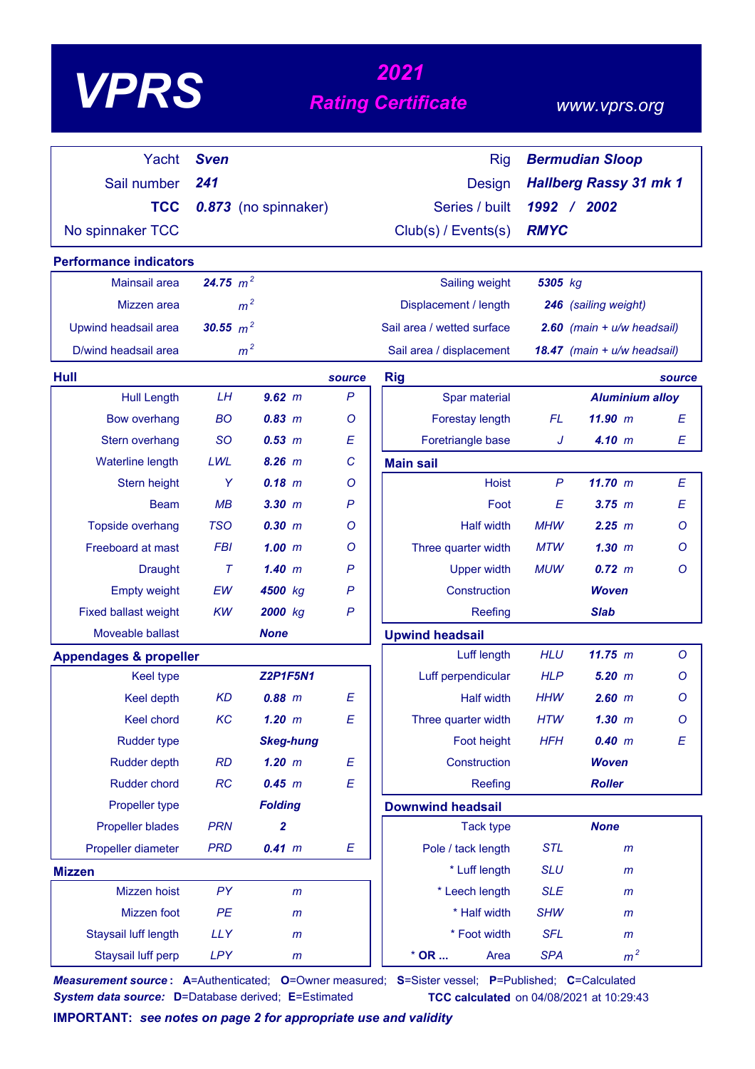|                                   | 2021        |                      |                           |                            |              |                               |         |
|-----------------------------------|-------------|----------------------|---------------------------|----------------------------|--------------|-------------------------------|---------|
| <b>VPRS</b>                       |             |                      |                           | <b>Rating Certificate</b>  |              | www.vprs.org                  |         |
| Yacht                             | <b>Sven</b> |                      |                           | <b>Rig</b>                 |              | <b>Bermudian Sloop</b>        |         |
| Sail number                       | 241         |                      |                           | <b>Design</b>              |              | <b>Hallberg Rassy 31 mk 1</b> |         |
| <b>TCC</b>                        |             | 0.873 (no spinnaker) |                           | Series / built             |              | 1992 / 2002                   |         |
| No spinnaker TCC                  |             |                      |                           | Club(s) / Events(s)        | <b>RMYC</b>  |                               |         |
| <b>Performance indicators</b>     |             |                      |                           |                            |              |                               |         |
| Mainsail area                     | 24.75 $m^2$ |                      |                           | Sailing weight             | 5305 kg      |                               |         |
| Mizzen area                       |             | m <sup>2</sup>       |                           | Displacement / length      |              | 246 (sailing weight)          |         |
| Upwind headsail area              | 30.55 $m^2$ |                      |                           | Sail area / wetted surface |              | 2.60 (main $+ u/w$ headsail)  |         |
| D/wind headsail area              |             | m <sup>2</sup>       |                           | Sail area / displacement   |              | 18.47 (main + u/w headsail)   |         |
| Hull                              |             |                      | source                    | <b>Rig</b>                 |              |                               | source  |
| <b>Hull Length</b>                | LH          | $9.62$ m             | $\mathsf{P}$              | Spar material              |              | <b>Aluminium alloy</b>        |         |
| <b>Bow overhang</b>               | <b>BO</b>   | 0.83 m               | O                         | Forestay length            | FL.          | 11.90 m                       | E       |
| Stern overhang                    | <b>SO</b>   | 0.53 m               | Ε                         | Foretriangle base          | J            | 4.10 m                        | E       |
| <b>Waterline length</b>           | LWL         | 8.26 m               | $\mathcal{C}$             | <b>Main sail</b>           |              |                               |         |
| Stern height                      | Y           | $0.18$ m             | O                         | <b>Hoist</b>               | $\mathsf{P}$ | 11.70 m                       | Ε       |
| <b>Beam</b>                       | MB          | 3.30 m               | $\mathsf{P}$              | Foot                       | E            | 3.75 m                        | E       |
| <b>Topside overhang</b>           | <b>TSO</b>  | 0.30 m               | O                         | <b>Half width</b>          | <b>MHW</b>   | 2.25~m                        | O       |
| Freeboard at mast                 | <b>FBI</b>  | $1.00$ m             | O                         | Three quarter width        | <b>MTW</b>   | $1.30$ $m$                    | Ο       |
| <b>Draught</b>                    | $\tau$      | 1.40~m               | $\mathsf{P}$              | <b>Upper width</b>         | <b>MUW</b>   | $0.72 \, m$                   | Ο       |
| <b>Empty weight</b>               | EW          | 4500 kg              | P                         | Construction               |              | <b>Woven</b>                  |         |
| <b>Fixed ballast weight</b>       | KW          | 2000 kg              | P                         | Reefing                    |              | <b>Slab</b>                   |         |
| Moveable ballast                  |             | <b>None</b>          |                           | <b>Upwind headsail</b>     |              |                               |         |
| <b>Appendages &amp; propeller</b> |             |                      |                           | Luff length                | <b>HLU</b>   | 11.75 m                       | $\circ$ |
| Keel type                         |             | <b>Z2P1F5N1</b>      |                           | Luff perpendicular         | <b>HLP</b>   | $5.20$ $m$                    | $\circ$ |
| Keel depth                        | <b>KD</b>   | $0.88$ m             | E                         | <b>Half width</b>          | <b>HHW</b>   | $2.60$ m                      | Ο       |
| Keel chord                        | KC          | $1.20$ m             | E                         | Three quarter width        | <b>HTW</b>   | $1.30$ $m$                    | O       |
| <b>Rudder type</b>                |             | <b>Skeg-hung</b>     |                           | Foot height                | <b>HFH</b>   | 0.40 m                        | E       |
| <b>Rudder depth</b>               | <b>RD</b>   | $1.20$ m             | E                         | Construction               |              | <b>Woven</b>                  |         |
| Rudder chord                      | RC          | 0.45 m               | $\boldsymbol{\mathsf{E}}$ | Reefing                    |              | <b>Roller</b>                 |         |
| Propeller type                    |             | <b>Folding</b>       |                           | <b>Downwind headsail</b>   |              |                               |         |
| <b>Propeller blades</b>           | <b>PRN</b>  | $\overline{2}$       |                           | <b>Tack type</b>           |              | <b>None</b>                   |         |
| Propeller diameter                | <b>PRD</b>  | 0.41 m               | E                         | Pole / tack length         | <b>STL</b>   | m                             |         |
| <b>Mizzen</b>                     |             |                      |                           | * Luff length              | <b>SLU</b>   | m                             |         |
| Mizzen hoist                      | PY          | m                    |                           | * Leech length             | <b>SLE</b>   | m                             |         |
| Mizzen foot                       | PE          | $\mathsf{m}$         |                           | * Half width               | <b>SHW</b>   | m                             |         |
| Staysail luff length              | <b>LLY</b>  | $\mathsf{m}$         |                           | * Foot width               | <b>SFL</b>   | m                             |         |
| Staysail luff perp                | <b>LPY</b>  | m                    |                           | $*$ OR<br>Area             | <b>SPA</b>   | m <sup>2</sup>                |         |

*Measurement source* **: A**=Authenticated; **O**=Owner measured; **S**=Sister vessel; **P**=Published; **C**=Calculated *System data source:* **D**=Database derived; **E**=Estimated **TCC calculated** on 04/08/2021 at 10:29:43

**IMPORTANT:** *see notes on page 2 for appropriate use and validity*